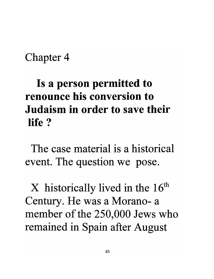#### Chapter 4

# **Is a person permitted to renounce his conversion to Judaism in order to save their life?**

The case material is a historical event. The question we pose.

 $X$  historically lived in the 16<sup>th</sup> Century. He was a Morano- a member of the 250,000 Jews who remained in Spain after August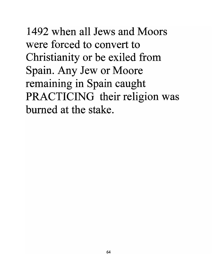1492 when all Jews and Moors were forced to convert to Christianity or be exiled from Spain. Any Jew or Moore remaining in Spain caught PRACTICING their religion was burned at the stake.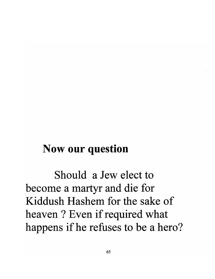#### **Now our question**

Should a Jew elect to become a martyr and die for Kiddush Hashem for the sake of heaven ? Even if required what happens if he refuses to be a hero?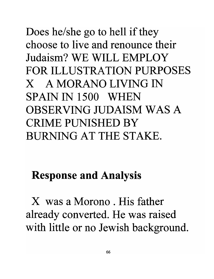# Does he/she go to hell if they choose to live and renounce their Judaism? WE WILL EMPLOY FOR ILLUSTRATION PURPOSES X A MORANO LIVING IN SPAIN IN 1500 WHEN OBSERVING JUDAISM WAS A CRIME PUNISHED BY BURNING AT THE STAKE.

### Response and Analysis

X was a Morono . His father already converted. He was raised with little or no Jewish background.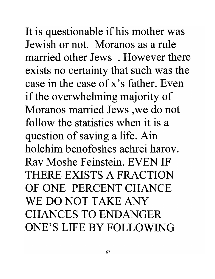It is questionable if his mother was Jewish or not. Moranos as a rule married other Jews . However there exists no certainty that such was the case in the case of x's father. Even if the overwhelming majority of Moranos married Jews ,we do not follow the statistics when it is a question of saving a life. Ain holchim benofoshes achrei harov. Rav Moshe Feinstein. EVEN IF THERE EXISTS A FRACTION OF ONE PERCENT CHANCE WE DO NOT TAKE ANY CHANCES TO ENDANGER ONE'S LIFE BY FOLLOWING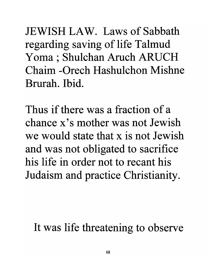JEWISH LAW. Laws of Sabbath regarding saving of life Talmud Yoma; Shulchan Aruch ARUCH Chaim -Orech Hashulchon Mishne Brurah. Ibid.

Thus if there was a fraction of a chance x's mother was not Jewish we would state that x is not Jewish and was not obligated to sacrifice his life in order not to recant his Judaism and practice Christianity.

It was life threatening to observe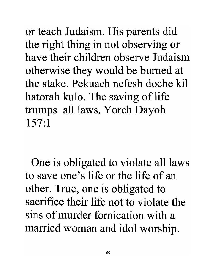or teach Judaism. His parents did the right thing in not observing or have their children observe Judaism otherwise they would be burned at the stake. Pekuach nefesh doche kil hatorah kulo. The saving of life trumps all laws. Y oreh Dayoh 157:1

One is obligated to violate all laws to save one's life or the life of an other. True, one is obligated to sacrifice their life not to violate the sins of murder fornication with a married woman and idol worship.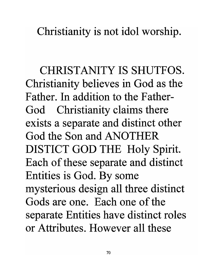Christianity is not idol worship.

CHRISTANITY IS SHUTFOS. Christianity believes in God as the Father. In addition to the Father-God Christianity claims there exists a separate and distinct other God the Son and ANOTHER DISTICT GOD THE Holy Spirit. Each of these separate and distinct Entities is God. By some mysterious design all three distinct Gods are one. Each one of the separate Entities have distinct roles or Attributes. However all these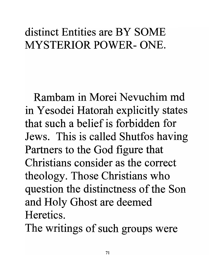## distinct Entities are BY SOME MYSTERIOR POWER-ONE.

Rambam in Morei Nevuchim md in Yesodei Hatorah explicitly states that such a belief is forbidden for Jews. This is called Shutfos having Partners to the God figure that Christians consider as the correct theology. Those Christians who question the distinctness of the Son and Holy Ghost are deemed Heretics.

The writings of such groups were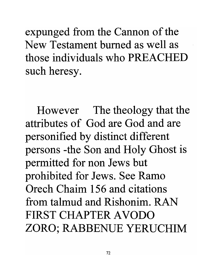expunged from the Cannon of the New Testament burned as well as those individuals who PREACHED such heresy.

However The theology that the attributes of God are God and are personified by distinct different persons -the Son and Holy Ghost is permitted for non Jews but prohibited for Jews. See Ramo Orech Chaim 156 and citations from talmud and Rishonim. RAN FIRST CHAPTER AVODO ZORO; RABBENUE YERUCHIM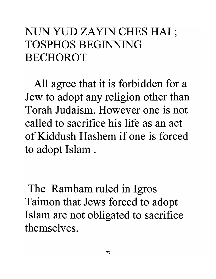## NUN YUD ZAYIN CHES HAI; TOSPHOS BEGINNING BECHOROT

All agree that it is forbidden for a Jew to adopt any religion other than Torah Judaism. However one is not called to sacrifice his life as an act of Kiddush Hashem if one is forced to adopt Islam .

The Rambam ruled in Igros Taimon that Jews forced to adopt Islam are not obligated to sacrifice themselves.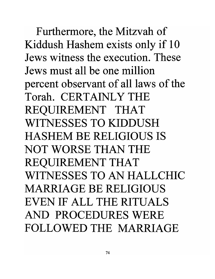Furthermore, the Mitzvah of Kiddush Hashem exists only if 10 Jews witness the execution. These Jews must all be one million percent observant of all laws of the Torah. CERTAINLY THE REQUIREMENT THAT WITNESSES TO KIDDUSH HASHEM BE RELIGIOUS IS NOT WORSE THAN THE REQUIREMENT THAT WITNESSES TO AN HALLCHIC MARRIAGE BE RELIGIOUS EVEN IF ALL THE RITUALS AND PROCEDURES WERE FOLLOWED THE MARRIAGE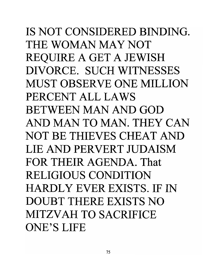IS NOT CONSIDERED BINDING. THE WOMAN MAY NOT REQUIRE A GET A JEWISH DIVORCE. SUCH WITNESSES MUST OBSERVE ONE MILLION PERCENT ALL LAWS BETWEEN MAN AND GOD AND MAN TO MAN. THEY CAN NOT BE THIEVES CHEAT AND LIE AND PERVERT JUDAISM FOR THEIR AGENDA. That RELIGIOUS CONDITION HARDLY EVER EXISTS. IF IN DOUBT THERE EXISTS NO MITZVAH TO SACRIFICE ONE'S LIFE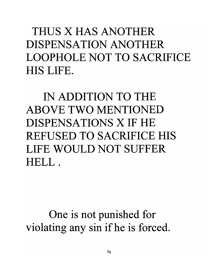THUS X HAS ANOTHER DISPENSATION ANOTHER LOOPHOLE NOT TO SACRIFICE HIS LIFE.

IN ADDITION TO THE ABOVE TWO MENTIONED DISPENSATIONS X IF HE REFUSED TO SACRIFICE HIS LIFE WOULD NOT SUFFER HELL.

One is not punished for violating any sin ifhe is forced.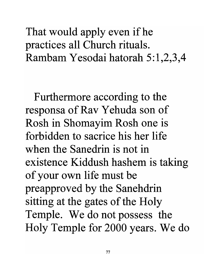### That would apply even if he practices all Church rituals. Rambam Yesodai hatorah 5:1,2,3,4

Furthermore according to the responsa of Rav Yehuda son of Rosh in Shomayim Rosh one is forbidden to sacrice his her life when the Sanedrin is not in existence Kiddush hashem is taking of your own life must be preapproved by the Sanehdrin sitting at the gates of the Holy Temple. We do not possess the Holy Temple for 2000 years. We do